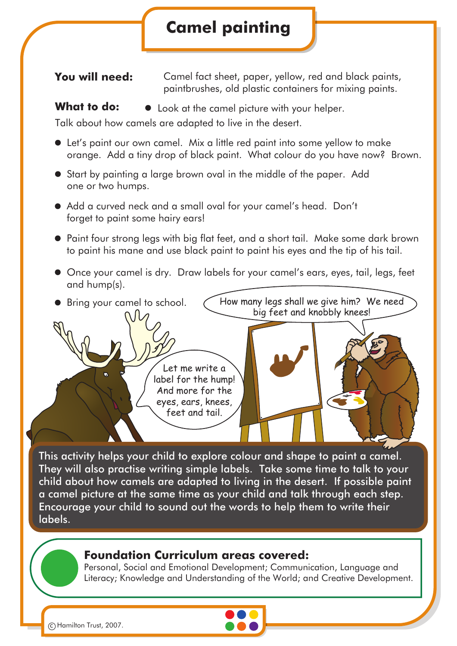## **Camel painting**

**You will need:** Camel fact sheet, paper, yellow, red and black paints, paintbrushes, old plastic containers for mixing paints.

### What **to do:**  $\bullet$  Look at the camel picture with your helper.

Talk about how camels are adapted to live in the desert.

- Let's paint our own camel. Mix a little red paint into some yellow to make orange. Add a tiny drop of black paint. What colour do you have now? Brown.
- Start by painting a large brown oval in the middle of the paper. Add one or two humps.
- Add a curved neck and a small oval for your camel's head. Don't forget to paint some hairy ears!
- Paint four strong legs with big flat feet, and a short tail. Make some dark brown to paint his mane and use black paint to paint his eyes and the tip of his tail.
- Once your camel is dry. Draw labels for your camel's ears, eyes, tail, legs, feet and hump(s).



This activity helps your child to explore colour and shape to paint a camel. They will also practise writing simple labels. Take some time to talk to your child about how camels are adapted to living in the desert. If possible paint a camel picture at the same time as your child and talk through each step. Encourage your child to sound out the words to help them to write their labels.

#### **Foundation Curriculum areas covered:**

Personal, Social and Emotional Development; Communication, Language and Literacy; Knowledge and Understanding of the World; and Creative Development.



c Hamilton Trust, 2007.